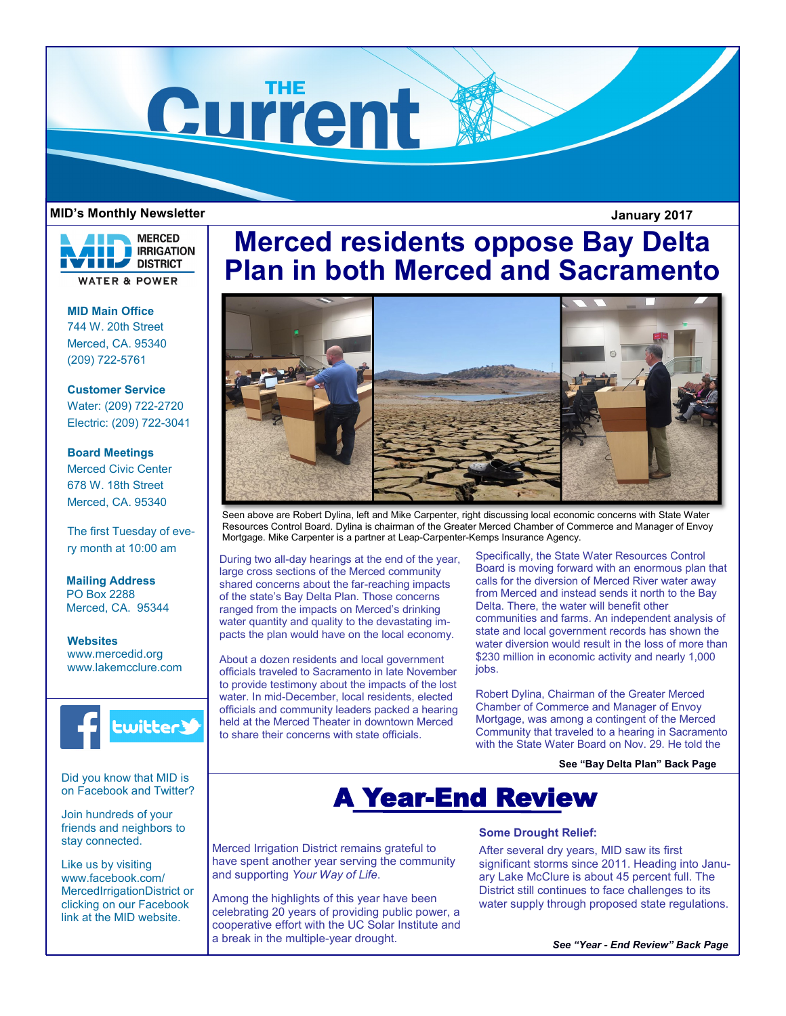

## **MID's Monthly Newsletter January 2017**

**MERCED IRRIGATION** DISTRICT **WATER & POWER** 

**MID Main Office** 744 W. 20th Street Merced, CA. 95340 (209) 722-5761

**Customer Service** Water: (209) 722-2720 Electric: (209) 722-3041

**Board Meetings** Merced Civic Center 678 W. 18th Street

Merced, CA. 95340

The first Tuesday of every month at 10:00 am

**Mailing Address** PO Box 2288 Merced, CA. 95344

**Websites** www.mercedid.org www.lakemcclure.com



Did you know that MID is on Facebook and Twitter?

Join hundreds of your friends and neighbors to stay connected.

Like us by visiting www.facebook.com/ MercedIrrigationDistrict or clicking on our Facebook link at the MID website.

# **Merced residents oppose Bay Delta Plan in both Merced and Sacramento**



Seen above are Robert Dylina, left and Mike Carpenter, right discussing local economic concerns with State Water Resources Control Board. Dylina is chairman of the Greater Merced Chamber of Commerce and Manager of Envoy Mortgage. Mike Carpenter is a partner at Leap-Carpenter-Kemps Insurance Agency.

During two all-day hearings at the end of the year, large cross sections of the Merced community shared concerns about the far-reaching impacts of the state's Bay Delta Plan. Those concerns ranged from the impacts on Merced's drinking water quantity and quality to the devastating impacts the plan would have on the local economy.

About a dozen residents and local government officials traveled to Sacramento in late November to provide testimony about the impacts of the lost water. In mid-December, local residents, elected officials and community leaders packed a hearing held at the Merced Theater in downtown Merced to share their concerns with state officials.

Specifically, the State Water Resources Control Board is moving forward with an enormous plan that calls for the diversion of Merced River water away from Merced and instead sends it north to the Bay Delta. There, the water will benefit other communities and farms. An independent analysis of state and local government records has shown the water diversion would result in the loss of more than \$230 million in economic activity and nearly 1,000 jobs.

Robert Dylina, Chairman of the Greater Merced Chamber of Commerce and Manager of Envoy Mortgage, was among a contingent of the Merced Community that traveled to a hearing in Sacramento with the State Water Board on Nov. 29. He told the

**See "Bay Delta Plan" Back Page**

# A Year-End Review

Merced Irrigation District remains grateful to have spent another year serving the community and supporting *Your Way of Life*.

Among the highlights of this year have been celebrating 20 years of providing public power, a cooperative effort with the UC Solar Institute and a break in the multiple-year drought.

## **Some Drought Relief:**

After several dry years, MID saw its first significant storms since 2011. Heading into January Lake McClure is about 45 percent full. The District still continues to face challenges to its water supply through proposed state regulations.

*See "Year - End Review" Back Page*